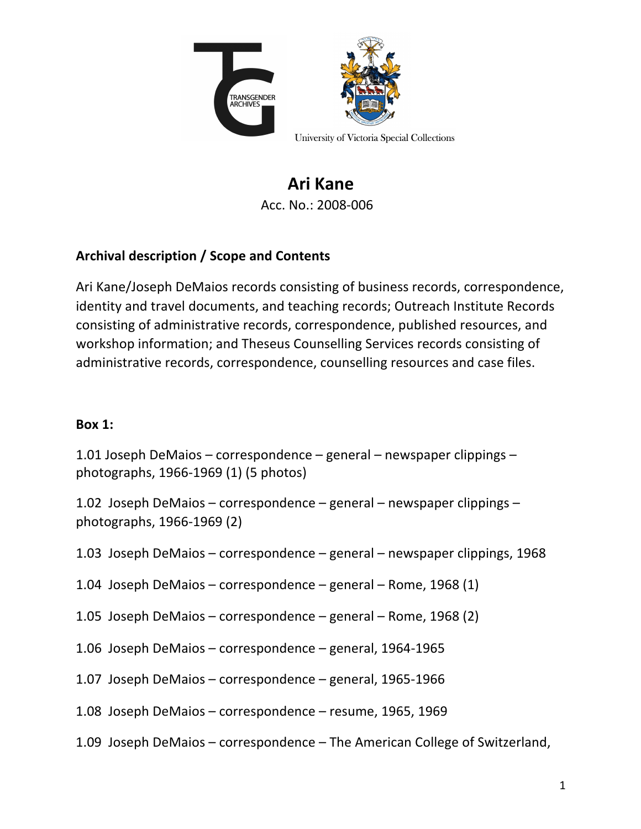

**Ari Kane** Acc. No.: 2008-006

# Archival description / Scope and Contents

Ari Kane/Joseph DeMaios records consisting of business records, correspondence, identity and travel documents, and teaching records; Outreach Institute Records consisting of administrative records, correspondence, published resources, and workshop information; and Theseus Counselling Services records consisting of administrative records, correspondence, counselling resources and case files.

### **Box 1:**

1.01 Joseph DeMaios – correspondence – general – newspaper clippings – photographs,  $1966-1969$  (1) (5 photos)

1.02 Joseph DeMaios – correspondence – general – newspaper clippings – photographs, 1966-1969 (2) 

- 1.03 Joseph DeMaios correspondence general newspaper clippings, 1968
- 1.04 Joseph DeMaios correspondence general Rome, 1968 (1)
- 1.05 Joseph DeMaios correspondence general Rome, 1968 (2)
- 1.06 Joseph DeMaios correspondence general, 1964-1965
- 1.07 Joseph DeMaios correspondence general, 1965-1966
- 1.08 Joseph DeMaios correspondence resume, 1965, 1969
- 1.09 Joseph DeMaios correspondence The American College of Switzerland,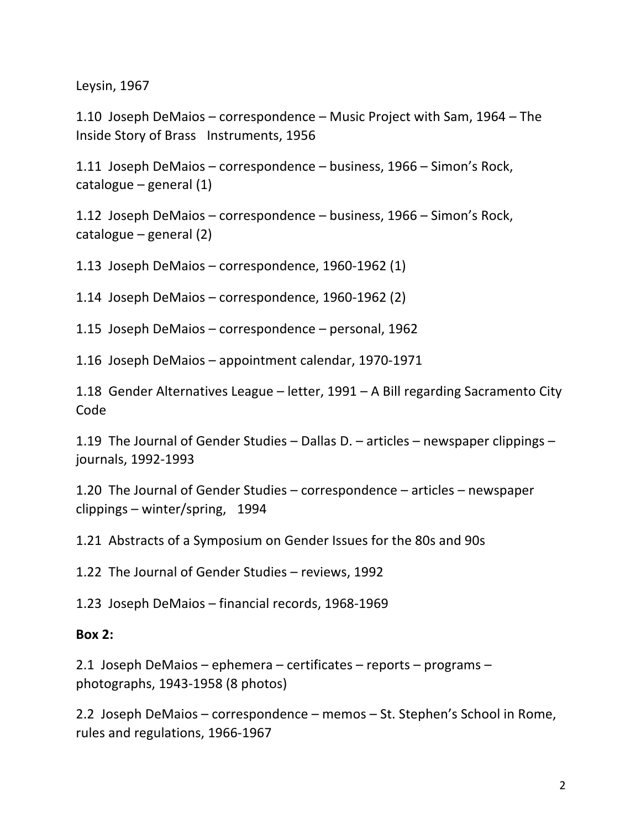Leysin, 1967

1.10 Joseph DeMaios – correspondence – Music Project with Sam, 1964 – The Inside Story of Brass Instruments, 1956 

1.11 Joseph DeMaios – correspondence – business, 1966 – Simon's Rock, catalogue  $-$  general  $(1)$ 

1.12 Joseph DeMaios - correspondence - business, 1966 - Simon's Rock, catalogue  $-$  general (2)

1.13 Joseph DeMaios – correspondence, 1960-1962  $(1)$ 

1.14 Joseph DeMaios - correspondence, 1960-1962 (2)

1.15 Joseph DeMaios - correspondence - personal, 1962

1.16 Joseph DeMaios - appointment calendar, 1970-1971

1.18 Gender Alternatives League – letter,  $1991 - A$  Bill regarding Sacramento City Code 

1.19 The Journal of Gender Studies – Dallas D. – articles – newspaper clippings – journals, 1992-1993 

1.20 The Journal of Gender Studies – correspondence – articles – newspaper clippings  $-$  winter/spring, 1994

1.21 Abstracts of a Symposium on Gender Issues for the 80s and 90s

1.22 The Journal of Gender Studies – reviews, 1992

1.23 Joseph DeMaios - financial records, 1968-1969

#### **Box 2:**

2.1 Joseph DeMaios – ephemera – certificates – reports – programs – photographs, 1943-1958 (8 photos) 

2.2 Joseph DeMaios – correspondence – memos – St. Stephen's School in Rome, rules and regulations, 1966-1967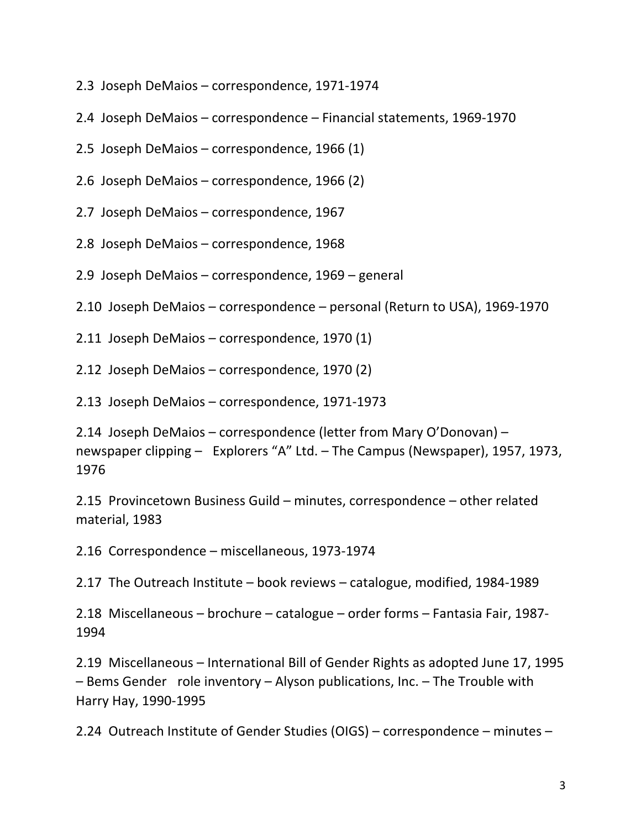- 2.3 Joseph DeMaios correspondence, 1971-1974
- 2.4 Joseph DeMaios correspondence Financial statements, 1969-1970
- 2.5 Joseph DeMaios correspondence, 1966  $(1)$
- 2.6 Joseph DeMaios correspondence, 1966 (2)
- 2.7 Joseph DeMaios correspondence, 1967
- 2.8 Joseph DeMaios correspondence, 1968
- 2.9 Joseph DeMaios correspondence, 1969 general
- 2.10 Joseph DeMaios correspondence personal (Return to USA), 1969-1970
- 2.11 Joseph DeMaios correspondence, 1970 (1)
- 2.12 Joseph DeMaios  $-$  correspondence, 1970 (2)
- 2.13 Joseph DeMaios – correspondence, 1971-1973

2.14 Joseph DeMaios – correspondence (letter from Mary O'Donovan) – newspaper clipping – Explorers "A" Ltd. – The Campus (Newspaper), 1957, 1973, 1976 

2.15 Provincetown Business Guild – minutes, correspondence – other related material, 1983

2.16 Correspondence – miscellaneous, 1973-1974

2.17 The Outreach Institute – book reviews – catalogue, modified, 1984-1989

2.18 Miscellaneous – brochure – catalogue – order forms – Fantasia Fair, 1987-1994 

2.19 Miscellaneous – International Bill of Gender Rights as adopted June 17, 1995  $-$  Bems Gender role inventory  $-$  Alyson publications, Inc.  $-$  The Trouble with Harry Hay, 1990-1995 

2.24 Outreach Institute of Gender Studies (OIGS) – correspondence – minutes –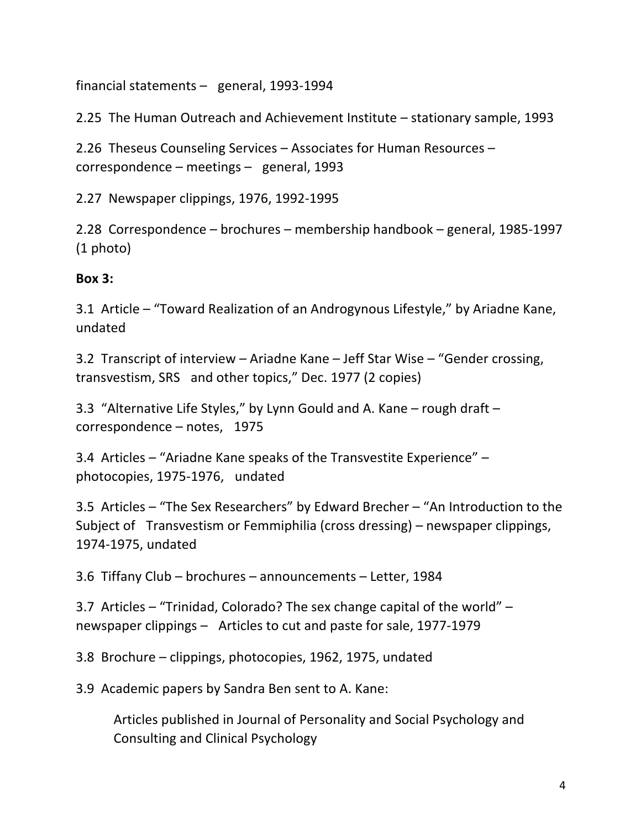financial statements  $-$  general, 1993-1994

2.25 The Human Outreach and Achievement Institute – stationary sample, 1993

2.26 Theseus Counseling Services – Associates for Human Resources –  $correspondence - meetings - general, 1993$ 

2.27 Newspaper clippings, 1976, 1992-1995 

2.28 Correspondence – brochures – membership handbook – general, 1985-1997  $(1 \text{ photo})$ 

#### **Box 3:**

3.1 Article - "Toward Realization of an Androgynous Lifestyle," by Ariadne Kane, undated 

3.2 Transcript of interview – Ariadne Kane – Jeff Star Wise – "Gender crossing, transvestism, SRS and other topics," Dec. 1977 (2 copies)

3.3 "Alternative Life Styles," by Lynn Gould and A. Kane – rough draft –  $correspondence - notes, 1975$ 

3.4 Articles  $-$  "Ariadne Kane speaks of the Transvestite Experience"  $$ photocopies, 1975-1976, undated 

3.5 Articles  $-$  "The Sex Researchers" by Edward Brecher  $-$  "An Introduction to the Subject of Transvestism or Femmiphilia (cross dressing) – newspaper clippings, 1974-1975, undated

3.6 Tiffany Club – brochures – announcements – Letter, 1984

3.7 Articles  $-$  "Trinidad, Colorado? The sex change capital of the world"  $$ newspaper clippings – Articles to cut and paste for sale, 1977-1979

3.8 Brochure – clippings, photocopies, 1962, 1975, undated

3.9 Academic papers by Sandra Ben sent to A. Kane:

Articles published in Journal of Personality and Social Psychology and Consulting and Clinical Psychology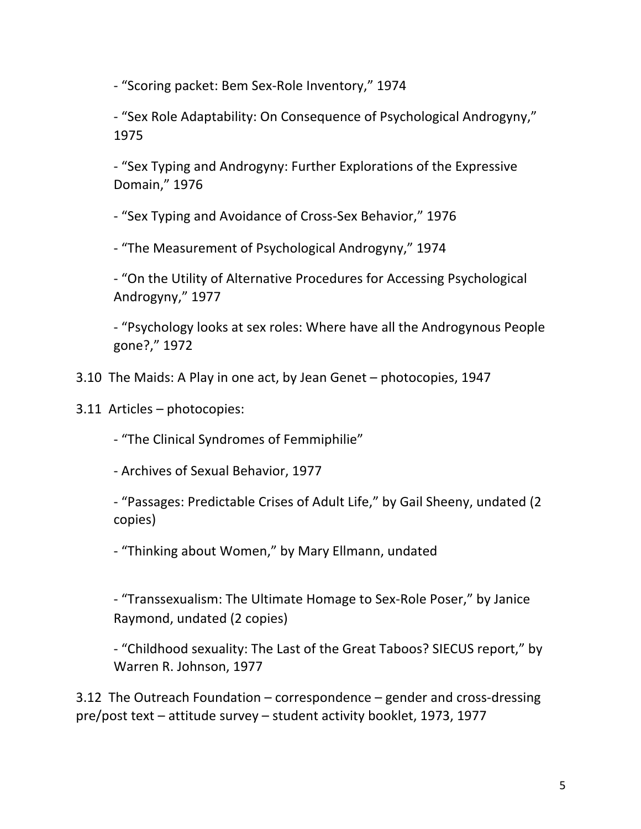- "Scoring packet: Bem Sex-Role Inventory," 1974

- "Sex Role Adaptability: On Consequence of Psychological Androgyny," 1975 

- "Sex Typing and Androgyny: Further Explorations of the Expressive Domain," 1976

- "Sex Typing and Avoidance of Cross-Sex Behavior," 1976

- "The Measurement of Psychological Androgyny," 1974

- "On the Utility of Alternative Procedures for Accessing Psychological Androgyny," 1977

- "Psychology looks at sex roles: Where have all the Androgynous People gone?," 1972 

- 3.10 The Maids: A Play in one act, by Jean Genet photocopies, 1947
- 3.11 Articles photocopies:

- "The Clinical Syndromes of Femmiphilie"

- Archives of Sexual Behavior, 1977

- "Passages: Predictable Crises of Adult Life," by Gail Sheeny, undated (2) copies) 

- "Thinking about Women," by Mary Ellmann, undated

- "Transsexualism: The Ultimate Homage to Sex-Role Poser," by Janice Raymond, undated (2 copies)

- "Childhood sexuality: The Last of the Great Taboos? SIECUS report," by Warren R. Johnson, 1977

3.12 The Outreach Foundation  $-$  correspondence  $-$  gender and cross-dressing pre/post text – attitude survey – student activity booklet, 1973, 1977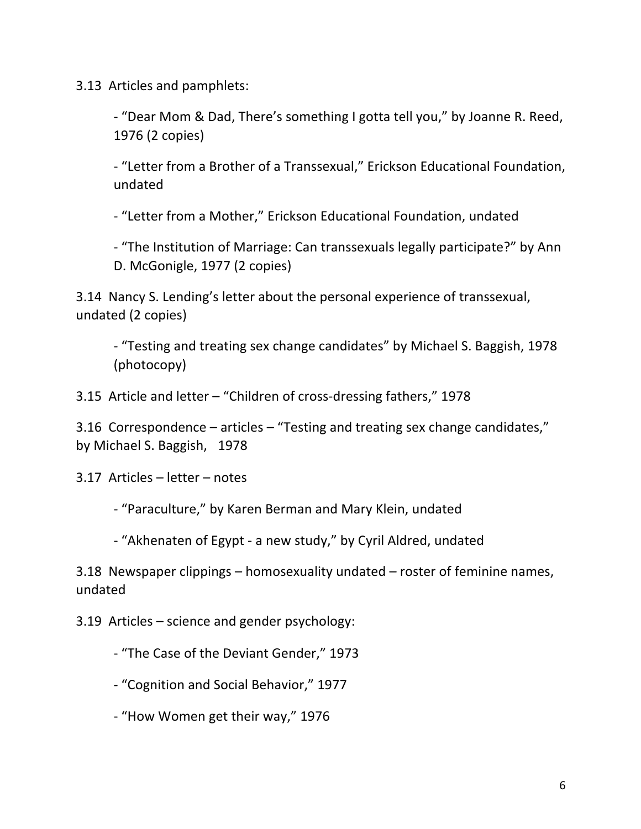3.13 Articles and pamphlets:

- "Dear Mom & Dad, There's something I gotta tell you," by Joanne R. Reed, 1976 (2 copies)

- "Letter from a Brother of a Transsexual," Erickson Educational Foundation, undated

- "Letter from a Mother," Erickson Educational Foundation, undated

- "The Institution of Marriage: Can transsexuals legally participate?" by Ann D. McGonigle, 1977 (2 copies)

3.14 Nancy S. Lending's letter about the personal experience of transsexual, undated (2 copies)

- "Testing and treating sex change candidates" by Michael S. Baggish, 1978 (photocopy) 

3.15 Article and letter – "Children of cross-dressing fathers," 1978

3.16 Correspondence  $-$  articles  $-$  "Testing and treating sex change candidates," by Michael S. Baggish, 1978

 $3.17$  Articles – letter – notes

- "Paraculture," by Karen Berman and Mary Klein, undated

- "Akhenaten of Egypt - a new study," by Cyril Aldred, undated

3.18 Newspaper clippings - homosexuality undated - roster of feminine names, undated 

 $3.19$  Articles – science and gender psychology:

- "The Case of the Deviant Gender," 1973

- "Cognition and Social Behavior," 1977

- "How Women get their way," 1976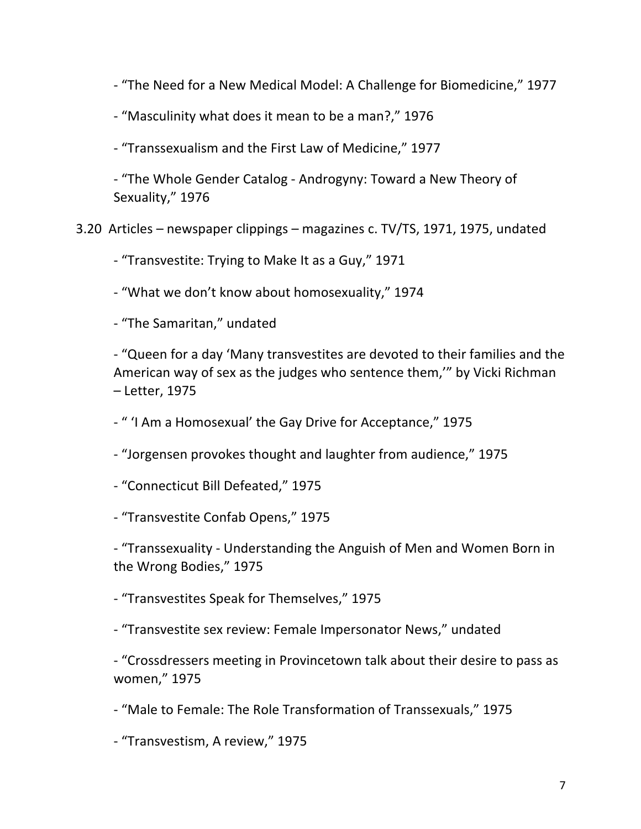- "The Need for a New Medical Model: A Challenge for Biomedicine," 1977

- "Masculinity what does it mean to be a man?," 1976

- "Transsexualism and the First Law of Medicine," 1977

- "The Whole Gender Catalog - Androgyny: Toward a New Theory of Sexuality," 1976

3.20 Articles – newspaper clippings – magazines c. TV/TS, 1971, 1975, undated

- "Transvestite: Trying to Make It as a Guy," 1971

- "What we don't know about homosexuality," 1974

- "The Samaritan," undated

- "Queen for a day 'Many transvestites are devoted to their families and the American way of sex as the judges who sentence them," by Vicki Richman – Letter, 1975

- " 'I Am a Homosexual' the Gay Drive for Acceptance," 1975

- "Jorgensen provokes thought and laughter from audience," 1975

- "Connecticut Bill Defeated," 1975

- "Transvestite Confab Opens," 1975

- "Transsexuality - Understanding the Anguish of Men and Women Born in the Wrong Bodies," 1975

- "Transvestites Speak for Themselves," 1975

- "Transvestite sex review: Female Impersonator News," undated

- "Crossdressers meeting in Provincetown talk about their desire to pass as women," 1975 

- "Male to Female: The Role Transformation of Transsexuals," 1975

- "Transvestism, A review," 1975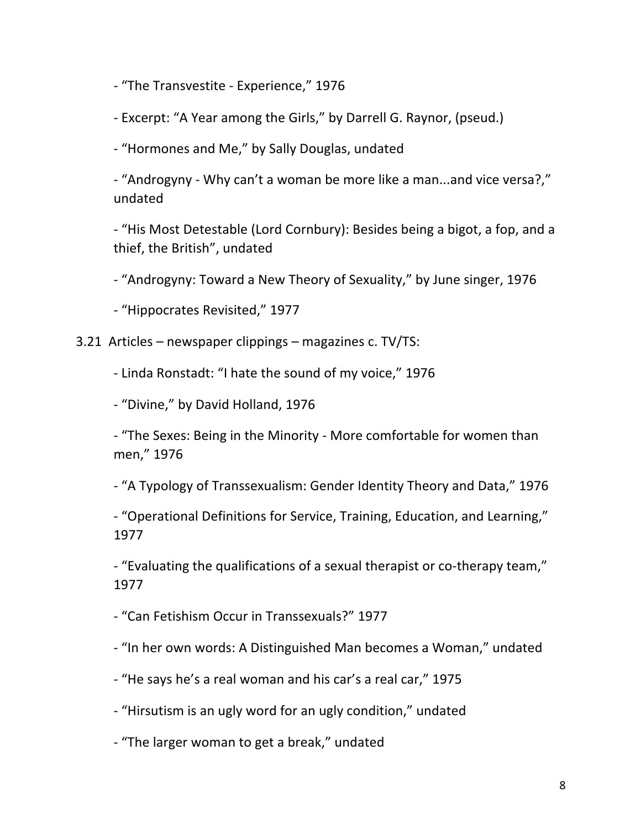- "The Transvestite - Experience," 1976

- Excerpt: "A Year among the Girls," by Darrell G. Raynor, (pseud.)

- "Hormones and Me," by Sally Douglas, undated

- "Androgyny - Why can't a woman be more like a man...and vice versa?," undated 

- "His Most Detestable (Lord Cornbury): Besides being a bigot, a fop, and a thief, the British", undated

- "Androgyny: Toward a New Theory of Sexuality," by June singer, 1976

- "Hippocrates Revisited," 1977

3.21 Articles – newspaper clippings – magazines c. TV/TS:

- Linda Ronstadt: "I hate the sound of my voice," 1976

- "Divine," by David Holland, 1976

- "The Sexes: Being in the Minority - More comfortable for women than men," 1976

- "A Typology of Transsexualism: Gender Identity Theory and Data," 1976

- "Operational Definitions for Service, Training, Education, and Learning," 1977

- "Evaluating the qualifications of a sexual therapist or co-therapy team," 1977

- "Can Fetishism Occur in Transsexuals?" 1977

- "In her own words: A Distinguished Man becomes a Woman," undated

- "He says he's a real woman and his car's a real car," 1975
- "Hirsutism is an ugly word for an ugly condition," undated
- "The larger woman to get a break," undated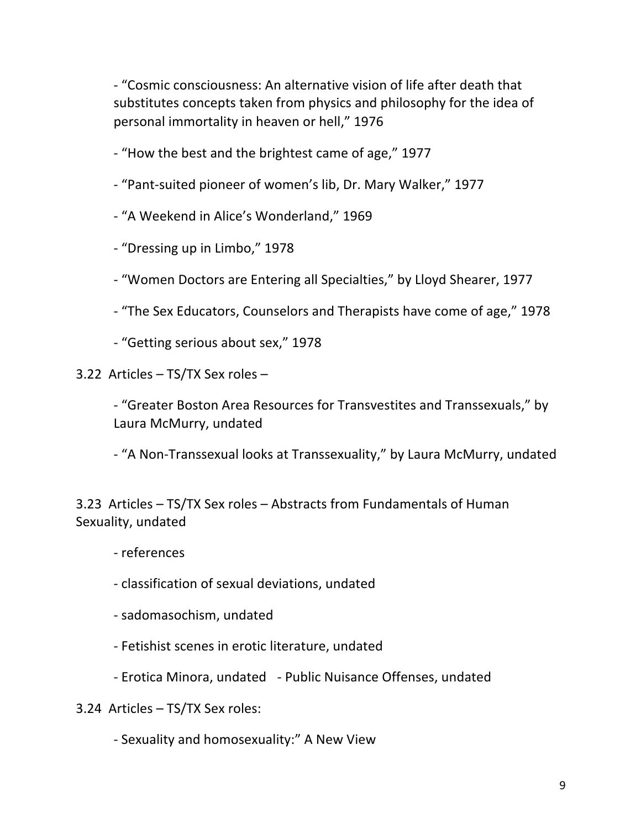- "Cosmic consciousness: An alternative vision of life after death that substitutes concepts taken from physics and philosophy for the idea of personal immortality in heaven or hell," 1976

- "How the best and the brightest came of age," 1977

- "Pant-suited pioneer of women's lib, Dr. Mary Walker," 1977

- "A Weekend in Alice's Wonderland," 1969

- "Dressing up in Limbo," 1978

- "Women Doctors are Entering all Specialties," by Lloyd Shearer, 1977

- "The Sex Educators, Counselors and Therapists have come of age," 1978

- "Getting serious about sex," 1978

3.22 Articles  $-$  TS/TX Sex roles  $-$ 

- "Greater Boston Area Resources for Transvestites and Transsexuals," by Laura McMurry, undated

- "A Non-Transsexual looks at Transsexuality," by Laura McMurry, undated

3.23 Articles - TS/TX Sex roles - Abstracts from Fundamentals of Human Sexuality, undated

- references 

- classification of sexual deviations, undated

- sadomasochism, undated

- Fetishist scenes in erotic literature, undated

- Erotica Minora, undated - Public Nuisance Offenses, undated

3.24 Articles - TS/TX Sex roles:

- Sexuality and homosexuality:" A New View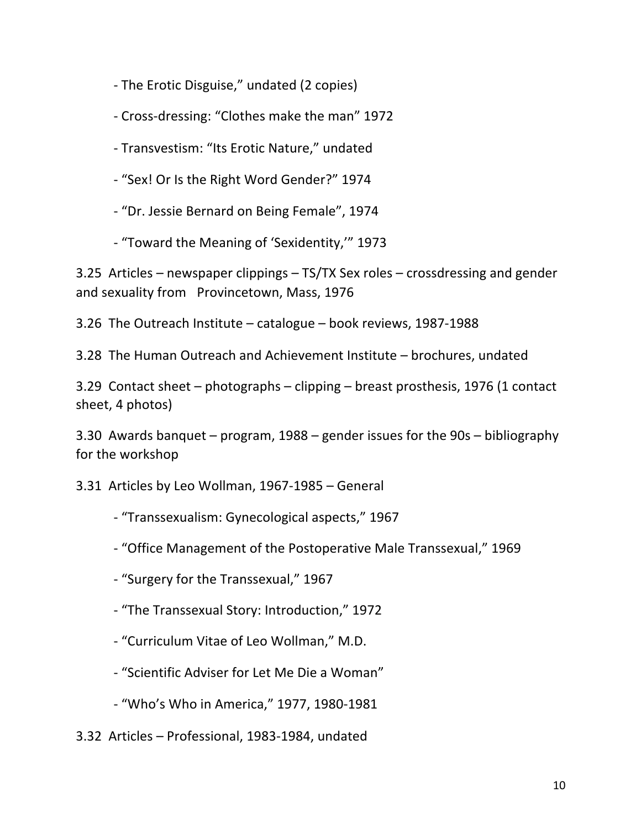- The Erotic Disguise," undated (2 copies)

- Cross-dressing: "Clothes make the man" 1972

- Transvestism: "Its Erotic Nature," undated

- "Sex! Or Is the Right Word Gender?" 1974

- "Dr. Jessie Bernard on Being Female", 1974

- "Toward the Meaning of 'Sexidentity," 1973

3.25 Articles – newspaper clippings – TS/TX Sex roles – crossdressing and gender and sexuality from Provincetown, Mass, 1976

3.26 The Outreach Institute  $-$  catalogue  $-$  book reviews, 1987-1988

3.28 The Human Outreach and Achievement Institute – brochures, undated

3.29 Contact sheet  $-$  photographs  $-$  clipping  $-$  breast prosthesis, 1976 (1 contact sheet, 4 photos)

3.30 Awards banquet – program,  $1988$  – gender issues for the  $90s$  – bibliography for the workshop

3.31 Articles by Leo Wollman, 1967-1985 - General

- "Transsexualism: Gynecological aspects," 1967

- "Office Management of the Postoperative Male Transsexual," 1969

- "Surgery for the Transsexual," 1967

- "The Transsexual Story: Introduction," 1972

- "Curriculum Vitae of Leo Wollman," M.D.

- "Scientific Adviser for Let Me Die a Woman"

- "Who's Who in America," 1977, 1980-1981

3.32 Articles - Professional, 1983-1984, undated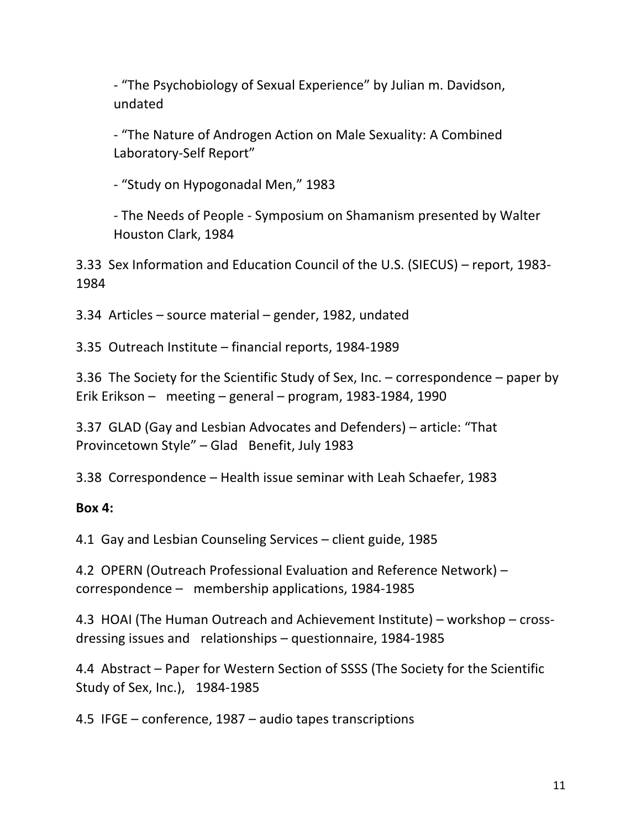- "The Psychobiology of Sexual Experience" by Julian m. Davidson, undated

- "The Nature of Androgen Action on Male Sexuality: A Combined Laboratory-Self Report"

- "Study on Hypogonadal Men," 1983

- The Needs of People - Symposium on Shamanism presented by Walter Houston Clark, 1984

3.33 Sex Information and Education Council of the U.S. (SIECUS) – report, 1983-1984 

3.34 Articles – source material – gender, 1982, undated

3.35 Outreach Institute - financial reports, 1984-1989

3.36 The Society for the Scientific Study of Sex, Inc. – correspondence – paper by Erik Erikson – meeting – general – program, 1983-1984, 1990

3.37 GLAD (Gay and Lesbian Advocates and Defenders) – article: "That Provincetown Style" - Glad Benefit, July 1983

3.38 Correspondence – Health issue seminar with Leah Schaefer, 1983

# **Box 4:**

4.1 Gay and Lesbian Counseling Services – client guide, 1985

4.2 OPERN (Outreach Professional Evaluation and Reference Network) –  $correspondence - membership applications, 1984-1985$ 

4.3 HOAI (The Human Outreach and Achievement Institute) – workshop – crossdressing issues and relationships  $-$  questionnaire, 1984-1985

4.4 Abstract – Paper for Western Section of SSSS (The Society for the Scientific Study of Sex, Inc.), 1984-1985

4.5 IFGE – conference,  $1987$  – audio tapes transcriptions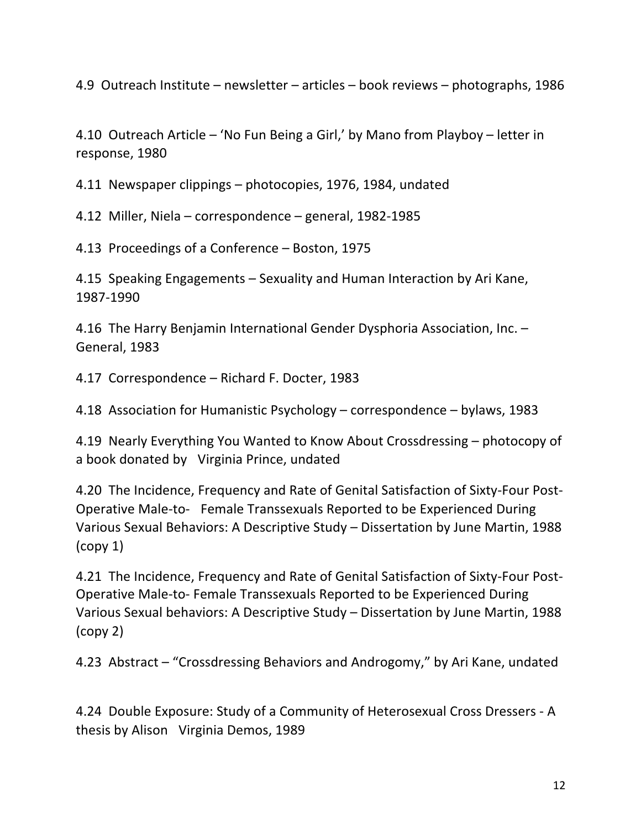4.9 Outreach Institute – newsletter – articles – book reviews – photographs, 1986

4.10 Outreach Article – 'No Fun Being a Girl,' by Mano from Playboy – letter in response, 1980

4.11 Newspaper clippings – photocopies, 1976, 1984, undated

4.12 Miller, Niela – correspondence – general, 1982-1985

4.13 Proceedings of a Conference – Boston, 1975

4.15 Speaking Engagements - Sexuality and Human Interaction by Ari Kane, 1987-1990 

4.16 The Harry Benjamin International Gender Dysphoria Association, Inc. -General, 1983

4.17 Correspondence – Richard F. Docter, 1983

4.18 Association for Humanistic Psychology – correspondence – bylaws, 1983

4.19 Nearly Everything You Wanted to Know About Crossdressing – photocopy of a book donated by Virginia Prince, undated

4.20 The Incidence, Frequency and Rate of Genital Satisfaction of Sixty-Four Post-Operative Male-to- Female Transsexuals Reported to be Experienced During Various Sexual Behaviors: A Descriptive Study – Dissertation by June Martin, 1988  $\left(\text{copy } 1\right)$ 

4.21 The Incidence, Frequency and Rate of Genital Satisfaction of Sixty-Four Post-Operative Male-to- Female Transsexuals Reported to be Experienced During Various Sexual behaviors: A Descriptive Study – Dissertation by June Martin, 1988  $\left(\text{copy } 2\right)$ 

4.23 Abstract – "Crossdressing Behaviors and Androgomy," by Ari Kane, undated

4.24 Double Exposure: Study of a Community of Heterosexual Cross Dressers - A thesis by Alison Virginia Demos, 1989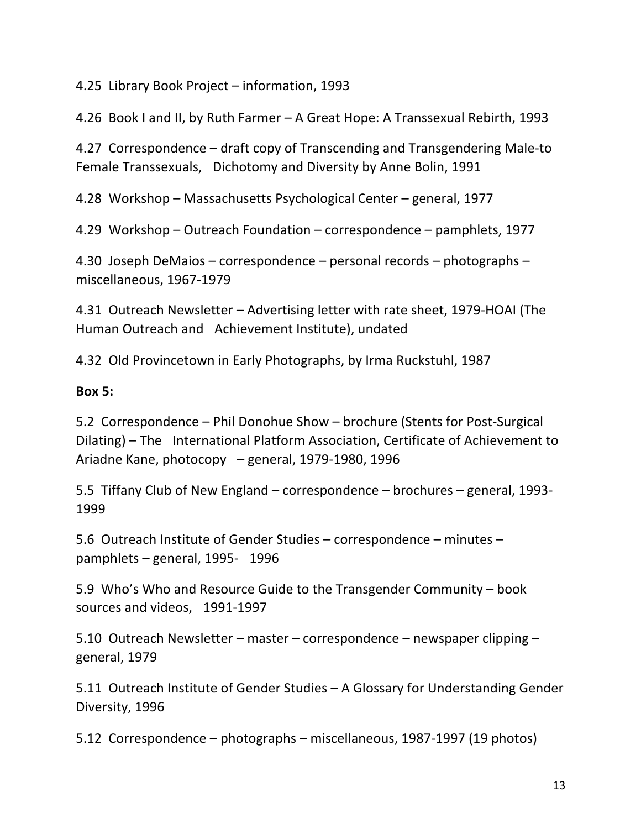4.25 Library Book Project - information, 1993

4.26 Book I and II, by Ruth Farmer – A Great Hope: A Transsexual Rebirth, 1993

4.27 Correspondence – draft copy of Transcending and Transgendering Male-to Female Transsexuals, Dichotomy and Diversity by Anne Bolin, 1991

4.28 Workshop – Massachusetts Psychological Center – general, 1977

4.29 Workshop – Outreach Foundation – correspondence – pamphlets, 1977

4.30 Joseph DeMaios – correspondence – personal records – photographs – miscellaneous, 1967-1979

4.31 Outreach Newsletter – Advertising letter with rate sheet, 1979-HOAI (The Human Outreach and Achievement Institute), undated

4.32 Old Provincetown in Early Photographs, by Irma Ruckstuhl, 1987

#### **Box 5:**

5.2 Correspondence – Phil Donohue Show – brochure (Stents for Post-Surgical Dilating) – The International Platform Association, Certificate of Achievement to Ariadne Kane, photocopy  $-$  general, 1979-1980, 1996

5.5 Tiffany Club of New England – correspondence – brochures – general, 1993-1999 

5.6 Outreach Institute of Gender Studies - correspondence - minutes pamphlets  $-$  general, 1995- 1996

5.9 Who's Who and Resource Guide to the Transgender Community – book sources and videos, 1991-1997

5.10 Outreach Newsletter – master – correspondence – newspaper clipping – general, 1979

5.11 Outreach Institute of Gender Studies – A Glossary for Understanding Gender Diversity, 1996

5.12 Correspondence – photographs – miscellaneous, 1987-1997 (19 photos)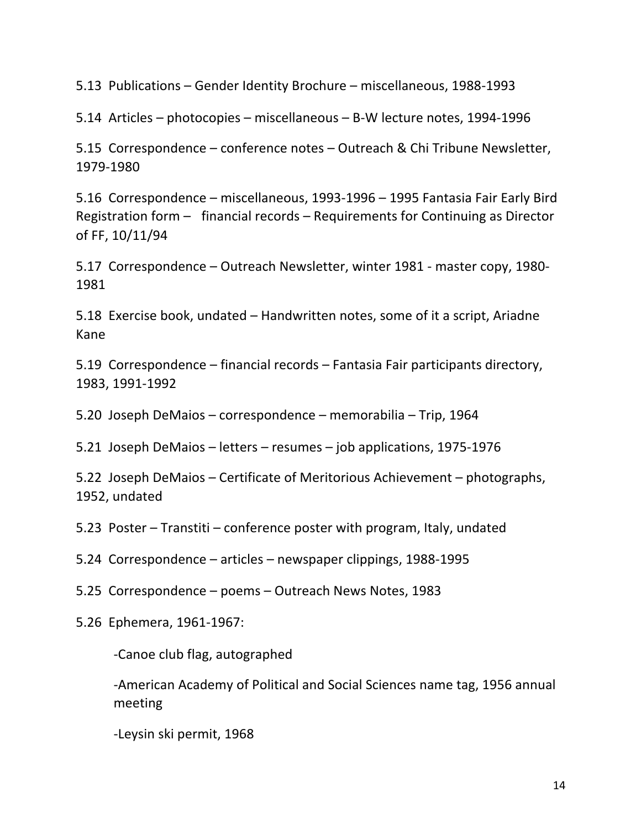5.13 Publications - Gender Identity Brochure - miscellaneous, 1988-1993

5.14 Articles – photocopies – miscellaneous – B-W lecture notes, 1994-1996

5.15 Correspondence – conference notes – Outreach & Chi Tribune Newsletter, 1979-1980 

5.16 Correspondence – miscellaneous, 1993-1996 – 1995 Fantasia Fair Early Bird Registration form  $-$  financial records  $-$  Requirements for Continuing as Director of FF, 10/11/94

5.17 Correspondence – Outreach Newsletter, winter 1981 - master copy, 1980-1981 

5.18 Exercise book, undated – Handwritten notes, some of it a script, Ariadne Kane 

5.19 Correspondence – financial records – Fantasia Fair participants directory, 1983, 1991-1992 

5.20 Joseph DeMaios – correspondence – memorabilia – Trip, 1964

5.21 Joseph DeMaios – letters – resumes – job applications, 1975-1976

5.22 Joseph DeMaios – Certificate of Meritorious Achievement – photographs, 1952, undated

5.23 Poster – Transtiti – conference poster with program, Italy, undated

5.24 Correspondence – articles – newspaper clippings, 1988-1995

5.25 Correspondence – poems – Outreach News Notes, 1983

5.26 Ephemera, 1961-1967: 

-Canoe club flag, autographed

-American Academy of Political and Social Sciences name tag, 1956 annual meeting 

-Leysin ski permit, 1968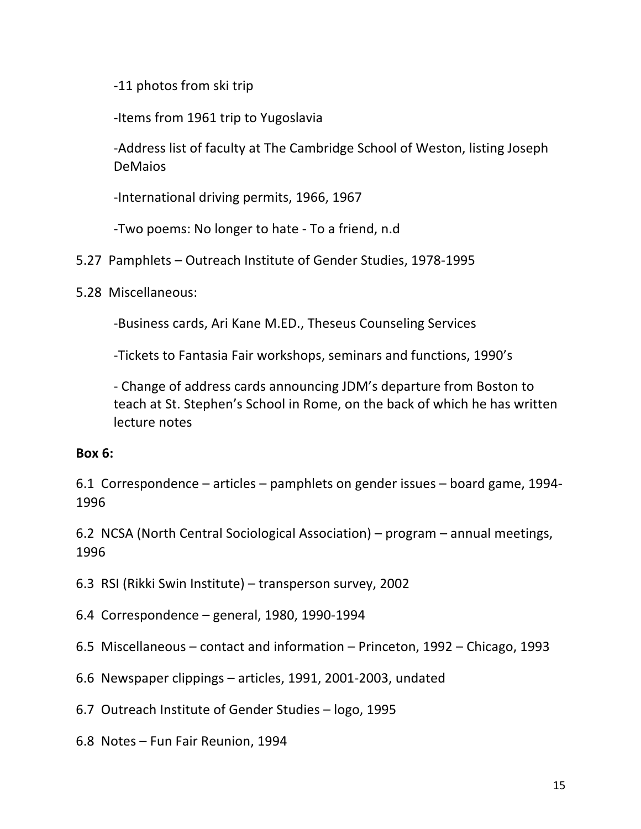-11 photos from ski trip

-Items from 1961 trip to Yugoslavia

-Address list of faculty at The Cambridge School of Weston, listing Joseph DeMaios 

-International driving permits, 1966, 1967

-Two poems: No longer to hate - To a friend, n.d

- 5.27 Pamphlets Outreach Institute of Gender Studies, 1978-1995
- 5.28 Miscellaneous:

-Business cards, Ari Kane M.ED., Theseus Counseling Services

-Tickets to Fantasia Fair workshops, seminars and functions, 1990's

- Change of address cards announcing JDM's departure from Boston to teach at St. Stephen's School in Rome, on the back of which he has written lecture notes

### **Box 6:**

6.1 Correspondence - articles - pamphlets on gender issues - board game, 1994-1996 

6.2 NCSA (North Central Sociological Association) – program – annual meetings, 1996 

6.3 RSI (Rikki Swin Institute) – transperson survey, 2002

- 6.4 Correspondence general, 1980, 1990-1994
- 6.5 Miscellaneous contact and information Princeton, 1992 Chicago, 1993
- 6.6 Newspaper clippings articles, 1991, 2001-2003, undated
- 6.7 Outreach Institute of Gender Studies logo, 1995
- 6.8 Notes Fun Fair Reunion, 1994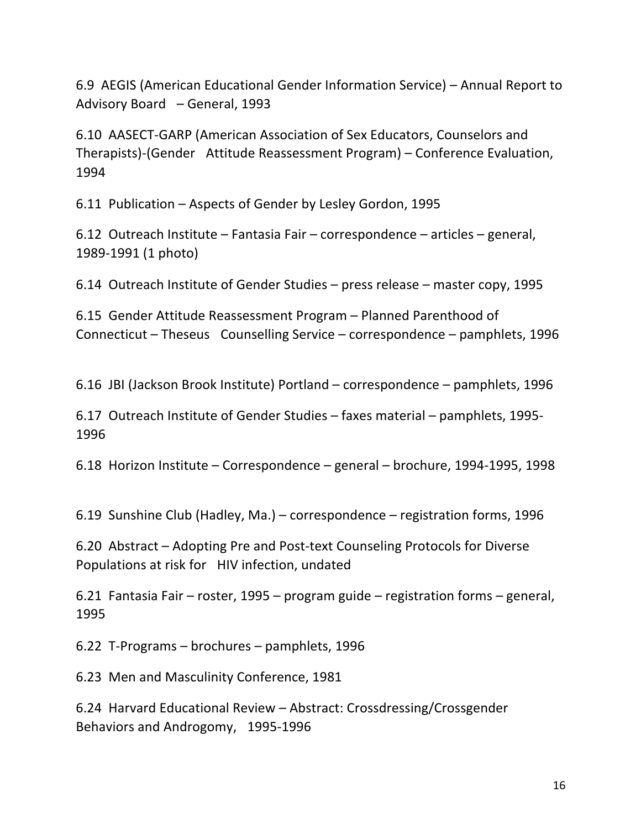6.9 AEGIS (American Educational Gender Information Service) – Annual Report to Advisory Board – General, 1993

6.10 AASECT-GARP (American Association of Sex Educators, Counselors and Therapists)-(Gender Attitude Reassessment Program) – Conference Evaluation, 1994 

6.11 Publication – Aspects of Gender by Lesley Gordon, 1995

6.12 Outreach Institute – Fantasia Fair – correspondence – articles – general, 1989-1991 (1 photo)

6.14 Outreach Institute of Gender Studies – press release – master copy, 1995

6.15 Gender Attitude Reassessment Program – Planned Parenthood of Connecticut – Theseus Counselling Service – correspondence – pamphlets, 1996

6.16 JBI (Jackson Brook Institute) Portland – correspondence – pamphlets, 1996

6.17 Outreach Institute of Gender Studies – faxes material – pamphlets, 1995-1996 

6.18 Horizon Institute – Correspondence – general – brochure, 1994-1995, 1998

6.19 Sunshine Club (Hadley, Ma.) – correspondence – registration forms, 1996

6.20 Abstract – Adopting Pre and Post-text Counseling Protocols for Diverse Populations at risk for HIV infection, undated

6.21 Fantasia Fair – roster, 1995 – program guide – registration forms – general, 1995 

 $6.22$  T-Programs – brochures – pamphlets, 1996

6.23 Men and Masculinity Conference, 1981 

6.24 Harvard Educational Review – Abstract: Crossdressing/Crossgender Behaviors and Androgomy, 1995-1996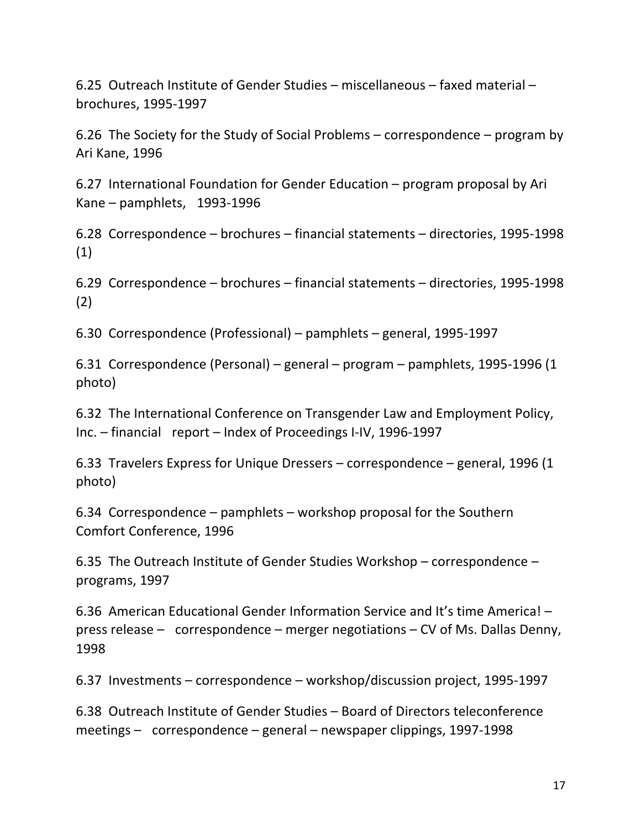6.25 Outreach Institute of Gender Studies – miscellaneous – faxed material – brochures, 1995-1997 

6.26 The Society for the Study of Social Problems – correspondence – program by Ari Kane, 1996

6.27 International Foundation for Gender Education – program proposal by Ari  $Kane$  – pamphlets, 1993-1996

6.28 Correspondence – brochures – financial statements – directories, 1995-1998 (1) 

6.29 Correspondence – brochures – financial statements – directories, 1995-1998 (2) 

6.30 Correspondence (Professional) – pamphlets – general, 1995-1997

6.31 Correspondence (Personal) – general – program – pamphlets, 1995-1996 (1 photo) 

6.32 The International Conference on Transgender Law and Employment Policy, Inc. – financial report – Index of Proceedings I-IV, 1996-1997

6.33 Travelers Express for Unique Dressers – correspondence – general, 1996 (1) photo) 

6.34 Correspondence  $-$  pamphlets  $-$  workshop proposal for the Southern Comfort Conference, 1996

6.35 The Outreach Institute of Gender Studies Workshop – correspondence – programs, 1997

6.36 American Educational Gender Information Service and It's time America! press release – correspondence – merger negotiations – CV of Ms. Dallas Denny, 1998 

6.37 Investments – correspondence – workshop/discussion project, 1995-1997

6.38 Outreach Institute of Gender Studies – Board of Directors teleconference  $meetings - correspondence - general - newspaper clippings, 1997-1998$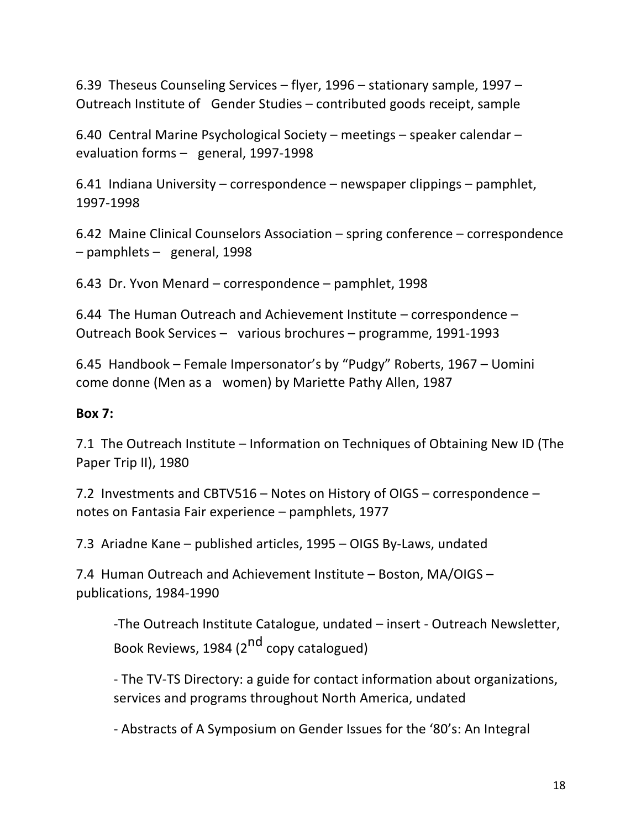6.39 Theseus Counseling Services – flyer, 1996 – stationary sample, 1997 – Outreach Institute of Gender Studies – contributed goods receipt, sample

6.40 Central Marine Psychological Society – meetings – speaker calendar – evaluation forms - general, 1997-1998

6.41 Indiana University – correspondence – newspaper clippings – pamphlet, 1997-1998 

6.42 Maine Clinical Counselors Association  $-$  spring conference  $-$  correspondence  $-$  pamphlets  $-$  general, 1998

6.43 Dr. Yvon Menard – correspondence – pamphlet,  $1998$ 

6.44 The Human Outreach and Achievement Institute  $-$  correspondence  $-$ Outreach Book Services - various brochures - programme, 1991-1993

6.45 Handbook – Female Impersonator's by "Pudgy" Roberts, 1967 – Uomini come donne (Men as a women) by Mariette Pathy Allen, 1987

### **Box 7:**

7.1 The Outreach Institute – Information on Techniques of Obtaining New ID (The Paper Trip II), 1980

7.2 Investments and CBTV516 – Notes on History of OIGS – correspondence – notes on Fantasia Fair experience  $-$  pamphlets, 1977

7.3 Ariadne Kane – published articles, 1995 – OIGS By-Laws, undated

7.4 Human Outreach and Achievement Institute - Boston, MA/OIGS publications, 1984-1990

-The Outreach Institute Catalogue, undated – insert - Outreach Newsletter, Book Reviews, 1984 (2<sup>nd</sup> copy catalogued)

- The TV-TS Directory: a guide for contact information about organizations, services and programs throughout North America, undated

- Abstracts of A Symposium on Gender Issues for the '80's: An Integral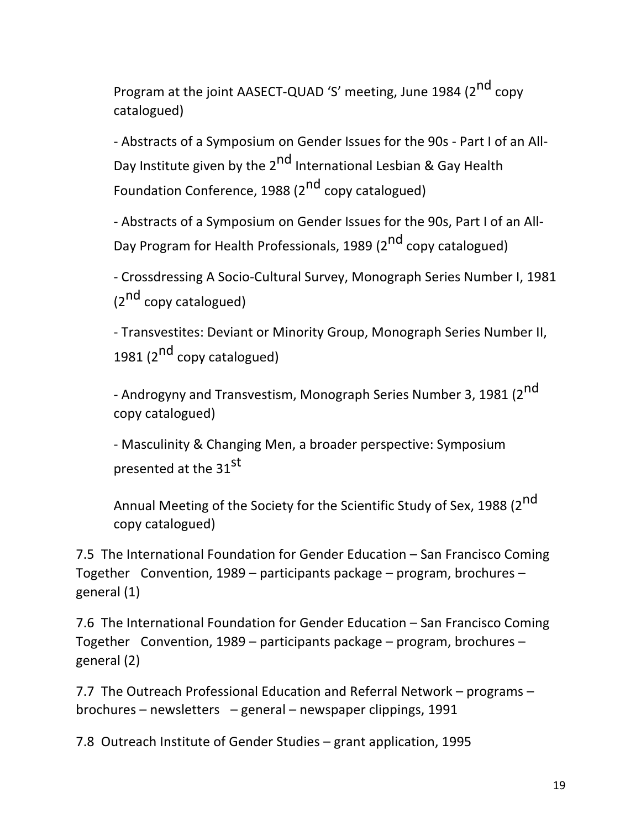Program at the joint AASECT-QUAD 'S' meeting, June 1984 (2<sup>nd</sup> copy catalogued)

- Abstracts of a Symposium on Gender Issues for the 90s - Part I of an All-Day Institute given by the 2<sup>nd</sup> International Lesbian & Gay Health Foundation Conference, 1988 (2<sup>nd</sup> copy catalogued)

- Abstracts of a Symposium on Gender Issues for the 90s, Part I of an All-Day Program for Health Professionals, 1989 (2<sup>nd</sup> copy catalogued)

- Crossdressing A Socio-Cultural Survey, Monograph Series Number I, 1981  $(2^{nd}$  copy catalogued)

- Transvestites: Deviant or Minority Group, Monograph Series Number II, 1981 (2<sup>nd</sup> copy catalogued)

- Androgyny and Transvestism, Monograph Series Number 3, 1981 (2<sup>nd</sup> copy catalogued) 

- Masculinity & Changing Men, a broader perspective: Symposium presented at the 31st

Annual Meeting of the Society for the Scientific Study of Sex, 1988 (2<sup>nd</sup> copy catalogued) 

7.5 The International Foundation for Gender Education – San Francisco Coming Together Convention, 1989 – participants package – program, brochures – general  $(1)$ 

7.6 The International Foundation for Gender Education – San Francisco Coming Together Convention, 1989 – participants package – program, brochures – general (2) 

7.7 The Outreach Professional Education and Referral Network – programs – brochures – newsletters – general – newspaper clippings, 1991

7.8 Outreach Institute of Gender Studies – grant application, 1995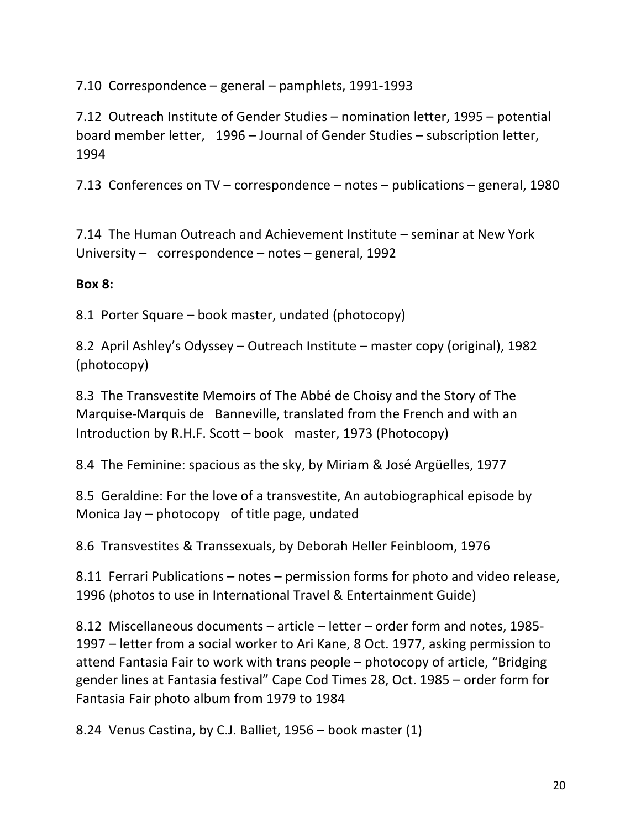7.10 Correspondence – general – pamphlets, 1991-1993

7.12 Outreach Institute of Gender Studies – nomination letter, 1995 – potential board member letter, 1996 – Journal of Gender Studies – subscription letter, 1994 

7.13 Conferences on TV – correspondence – notes – publications – general, 1980

7.14 The Human Outreach and Achievement Institute – seminar at New York University – correspondence – notes – general, 1992

## **Box 8:**

8.1 Porter Square – book master, undated (photocopy)

8.2 April Ashley's Odyssey – Outreach Institute – master copy (original), 1982 (photocopy) 

8.3 The Transvestite Memoirs of The Abbé de Choisy and the Story of The Marquise-Marquis de Banneville, translated from the French and with an Introduction by R.H.F. Scott  $-$  book master, 1973 (Photocopy)

8.4 The Feminine: spacious as the sky, by Miriam & José Argüelles, 1977

8.5 Geraldine: For the love of a transvestite, An autobiographical episode by Monica Jay – photocopy of title page, undated

8.6 Transvestites & Transsexuals, by Deborah Heller Feinbloom, 1976

8.11 Ferrari Publications – notes – permission forms for photo and video release, 1996 (photos to use in International Travel & Entertainment Guide)

8.12 Miscellaneous documents  $-$  article  $-$  letter  $-$  order form and notes, 1985-1997 – letter from a social worker to Ari Kane, 8 Oct. 1977, asking permission to attend Fantasia Fair to work with trans people  $-$  photocopy of article, "Bridging gender lines at Fantasia festival" Cape Cod Times 28, Oct. 1985 – order form for Fantasia Fair photo album from 1979 to 1984

8.24 Venus Castina, by C.J. Balliet,  $1956 -$  book master  $(1)$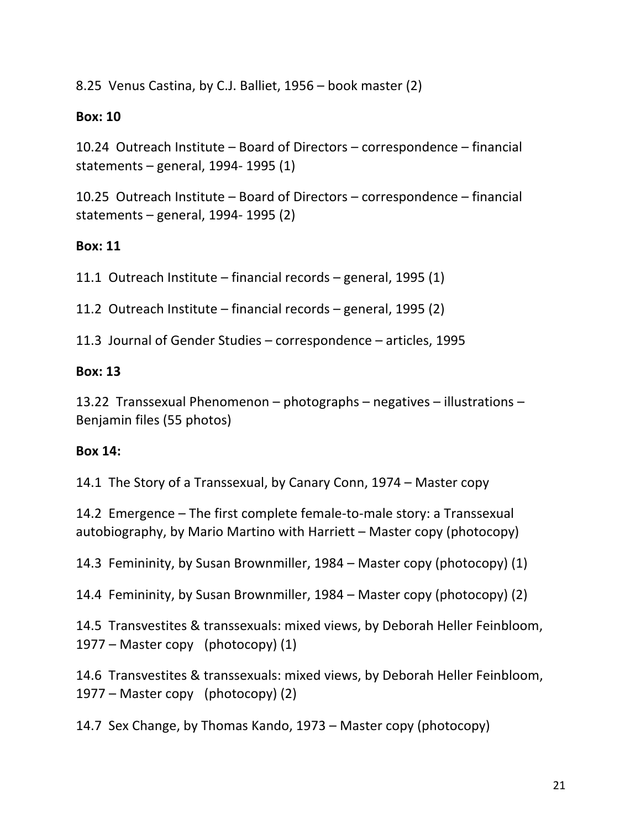8.25 Venus Castina, by C.J. Balliet,  $1956 -$  book master (2)

### **Box: 10**

10.24 Outreach Institute - Board of Directors - correspondence - financial statements – general, 1994- 1995 $(1)$ 

10.25 Outreach Institute – Board of Directors – correspondence – financial statements – general, 1994- 1995 $(2)$ 

## **Box: 11**

11.1 Outreach Institute – financial records – general, 1995  $(1)$ 

11.2 Outreach Institute  $-$  financial records  $-$  general, 1995 (2)

11.3 Journal of Gender Studies – correspondence – articles, 1995

# **Box: 13**

13.22 Transsexual Phenomenon – photographs – negatives – illustrations – Benjamin files (55 photos)

## **Box 14:**

14.1 The Story of a Transsexual, by Canary Conn, 1974 – Master copy

14.2 Emergence  $-$  The first complete female-to-male story: a Transsexual autobiography, by Mario Martino with Harriett  $-$  Master copy (photocopy)

14.3 Femininity, by Susan Brownmiller, 1984 – Master copy (photocopy) (1)

14.4 Femininity, by Susan Brownmiller, 1984 – Master copy (photocopy) (2)

14.5 Transvestites & transsexuals: mixed views, by Deborah Heller Feinbloom,  $1977$  – Master copy (photocopy) (1)

14.6 Transvestites & transsexuals: mixed views, by Deborah Heller Feinbloom,  $1977$  – Master copy (photocopy) (2)

14.7 Sex Change, by Thomas Kando, 1973 – Master copy (photocopy)